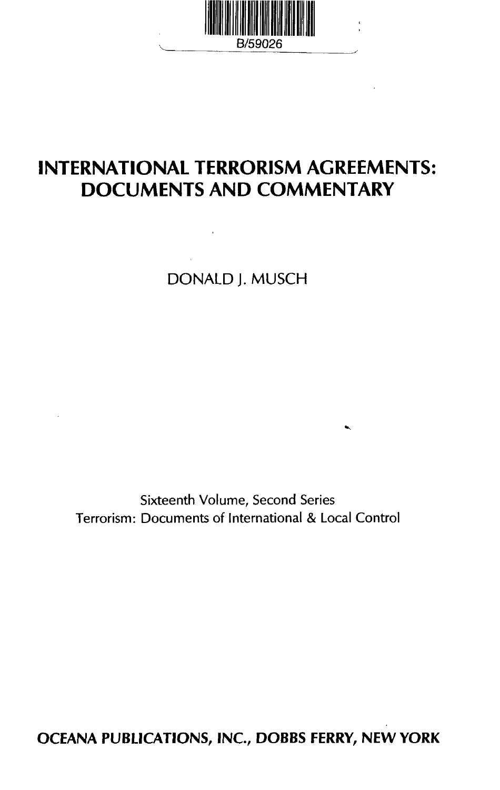

# **INTERNATIONAL TERRORISM AGREEMENTS: DOCUMENTS AND COMMENTARY**

DONALD J.MUSCH

Sixteenth Volume, Second Series Terrorism: Documents of International & Local Control

**OCEANA PUBLICATIONS, INC, DOBBS FERRY, NEW YORK**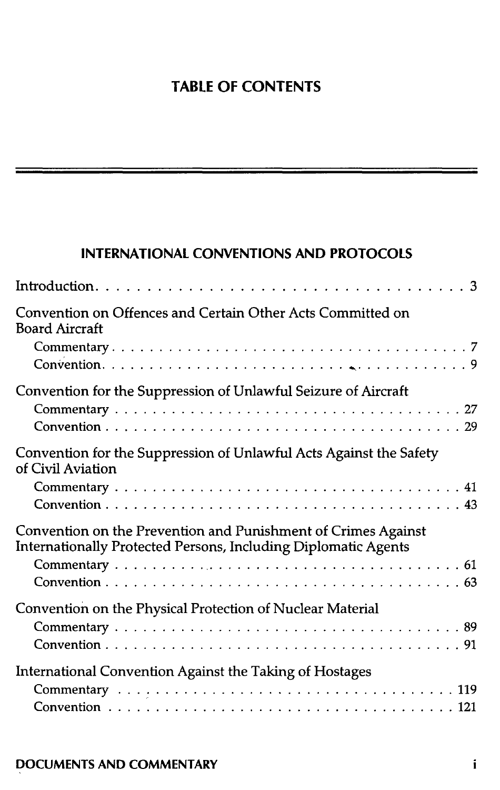# **TABLE OF CONTENTS**

## INTERNATIONAL CONVENTIONS AND PROTOCOLS

| Convention on Offences and Certain Other Acts Committed on<br><b>Board Aircraft</b>                                             |
|---------------------------------------------------------------------------------------------------------------------------------|
|                                                                                                                                 |
| Convention for the Suppression of Unlawful Seizure of Aircraft                                                                  |
| Convention for the Suppression of Unlawful Acts Against the Safety<br>of Civil Aviation                                         |
| Convention on the Prevention and Punishment of Crimes Against<br>Internationally Protected Persons, Including Diplomatic Agents |
| Convention on the Physical Protection of Nuclear Material                                                                       |
| International Convention Against the Taking of Hostages                                                                         |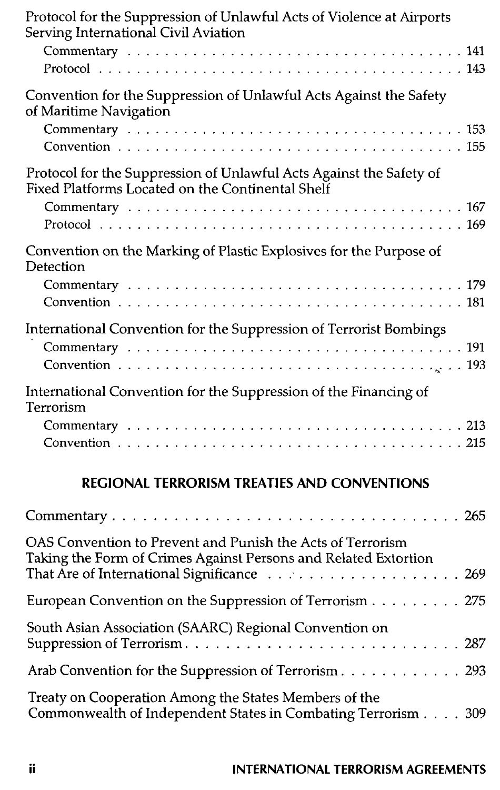| Protocol for the Suppression of Unlawful Acts of Violence at Airports<br>Serving International Civil Aviation                                                                   |
|---------------------------------------------------------------------------------------------------------------------------------------------------------------------------------|
|                                                                                                                                                                                 |
|                                                                                                                                                                                 |
| Convention for the Suppression of Unlawful Acts Against the Safety<br>of Maritime Navigation                                                                                    |
|                                                                                                                                                                                 |
| Protocol for the Suppression of Unlawful Acts Against the Safety of<br>Fixed Platforms Located on the Continental Shelf                                                         |
|                                                                                                                                                                                 |
| Convention on the Marking of Plastic Explosives for the Purpose of<br>Detection                                                                                                 |
|                                                                                                                                                                                 |
| International Convention for the Suppression of Terrorist Bombings                                                                                                              |
| International Convention for the Suppression of the Financing of<br>Terrorism                                                                                                   |
|                                                                                                                                                                                 |
| <b>REGIONAL TERRORISM TREATIES AND CONVENTIONS</b>                                                                                                                              |
|                                                                                                                                                                                 |
| OAS Convention to Prevent and Punish the Acts of Terrorism<br>Taking the Form of Crimes Against Persons and Related Extortion<br>That Are of International Significance<br>.269 |
| European Convention on the Suppression of Terrorism 275                                                                                                                         |
| South Asian Association (SAARC) Regional Convention on<br>Suppression of Terrorism<br>. 287                                                                                     |
| Arab Convention for the Suppression of Terrorism 293                                                                                                                            |
| Treaty on Cooperation Among the States Members of the<br>Commonwealth of Independent States in Combating Terrorism 309                                                          |